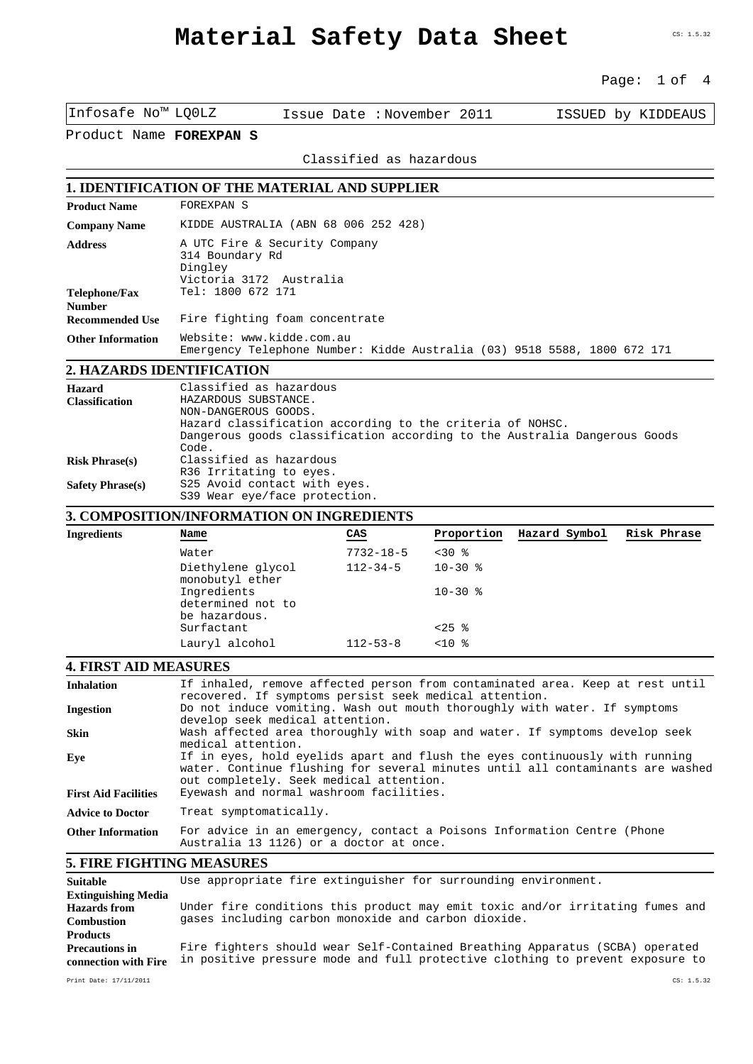#### Page: 1 of 4

|                                                                    | Water<br>$Di$ athulana alugal                                                                                                          |                           | $7732 - 18 - 5$<br>$<30$ $%$<br>11 2 2 A E | 10 20 e    |                                                                          |                    |  |  |
|--------------------------------------------------------------------|----------------------------------------------------------------------------------------------------------------------------------------|---------------------------|--------------------------------------------|------------|--------------------------------------------------------------------------|--------------------|--|--|
|                                                                    |                                                                                                                                        |                           |                                            |            |                                                                          |                    |  |  |
| <b>Ingredients</b>                                                 | 3. COMPOSITION/INFORMATION ON INGREDIENTS<br>Name                                                                                      | CAS                       |                                            | Proportion | Hazard Symbol                                                            | Risk Phrase        |  |  |
|                                                                    | S39 Wear eye/face protection.                                                                                                          |                           |                                            |            |                                                                          |                    |  |  |
| <b>Safety Phrase(s)</b>                                            | S25 Avoid contact with eyes.                                                                                                           |                           |                                            |            |                                                                          |                    |  |  |
| <b>Risk Phrase(s)</b>                                              | Classified as hazardous<br>R36 Irritating to eyes.                                                                                     |                           |                                            |            |                                                                          |                    |  |  |
|                                                                    | Code.                                                                                                                                  |                           |                                            |            |                                                                          |                    |  |  |
|                                                                    | Hazard classification according to the criteria of NOHSC.<br>Dangerous goods classification according to the Australia Dangerous Goods |                           |                                            |            |                                                                          |                    |  |  |
| <b>Classification</b>                                              | HAZARDOUS SUBSTANCE.<br>NON-DANGEROUS GOODS.                                                                                           |                           |                                            |            |                                                                          |                    |  |  |
| Hazard                                                             | Classified as hazardous                                                                                                                |                           |                                            |            |                                                                          |                    |  |  |
| 2. HAZARDS IDENTIFICATION                                          |                                                                                                                                        |                           |                                            |            | Emergency Telephone Number: Kidde Australia (03) 9518 5588, 1800 672 171 |                    |  |  |
| <b>Other Information</b>                                           | Website: www.kidde.com.au                                                                                                              |                           |                                            |            |                                                                          |                    |  |  |
| <b>Number</b><br><b>Recommended Use</b>                            | Fire fighting foam concentrate                                                                                                         |                           |                                            |            |                                                                          |                    |  |  |
| <b>Telephone/Fax</b>                                               | Dingley<br>Victoria 3172 Australia<br>Tel: 1800 672 171                                                                                |                           |                                            |            |                                                                          |                    |  |  |
| A UTC Fire & Security Company<br><b>Address</b><br>314 Boundary Rd |                                                                                                                                        |                           |                                            |            |                                                                          |                    |  |  |
| <b>Company Name</b>                                                | KIDDE AUSTRALIA (ABN 68 006 252 428)                                                                                                   |                           |                                            |            |                                                                          |                    |  |  |
| <b>Product Name</b>                                                | FOREXPAN S                                                                                                                             |                           |                                            |            |                                                                          |                    |  |  |
|                                                                    | <b>1. IDENTIFICATION OF THE MATERIAL AND SUPPLIER</b>                                                                                  |                           |                                            |            |                                                                          |                    |  |  |
|                                                                    |                                                                                                                                        |                           | Classified as hazardous                    |            |                                                                          |                    |  |  |
| Product Name FOREXPAN S                                            |                                                                                                                                        |                           |                                            |            |                                                                          |                    |  |  |
| Infosafe No™ LQ0LZ                                                 |                                                                                                                                        | Issue Date: November 2011 |                                            |            |                                                                          | ISSUED by KIDDEAUS |  |  |
|                                                                    |                                                                                                                                        |                           |                                            |            |                                                                          |                    |  |  |

| ngreaients | $name$                                            | ممب             | <b>FLODOLCTON</b> | nazaru sympoi | RISK FIILASE |  |
|------------|---------------------------------------------------|-----------------|-------------------|---------------|--------------|--|
|            | Water                                             | $7732 - 18 - 5$ | $<30$ %           |               |              |  |
|            | Diethylene glycol<br>monobutyl ether              | $112 - 34 - 5$  | $10-30$ %         |               |              |  |
|            | Ingredients<br>determined not to<br>be hazardous. |                 | $10 - 30$ %       |               |              |  |
|            | Surfactant                                        |                 | $< 25$ %          |               |              |  |
|            | Lauryl alcohol                                    | $112 - 53 - 8$  | $<10$ %           |               |              |  |
|            |                                                   |                 |                   |               |              |  |

### **4. FIRST AID MEASURES**

| <b>Inhalation</b>                                               | If inhaled, remove affected person from contaminated area. Keep at rest until<br>recovered. If symptoms persist seek medical attention.                                                                  |  |  |  |  |  |
|-----------------------------------------------------------------|----------------------------------------------------------------------------------------------------------------------------------------------------------------------------------------------------------|--|--|--|--|--|
| <b>Ingestion</b>                                                | Do not induce vomiting. Wash out mouth thoroughly with water. If symptoms<br>develop seek medical attention.                                                                                             |  |  |  |  |  |
| <b>Skin</b>                                                     | Wash affected area thoroughly with soap and water. If symptoms develop seek<br>medical attention.                                                                                                        |  |  |  |  |  |
| Eye                                                             | If in eyes, hold eyelids apart and flush the eyes continuously with running<br>water. Continue flushing for several minutes until all contaminants are washed<br>out completely. Seek medical attention. |  |  |  |  |  |
| <b>First Aid Facilities</b>                                     | Eyewash and normal washroom facilities.                                                                                                                                                                  |  |  |  |  |  |
| <b>Advice to Doctor</b>                                         | Treat symptomatically.                                                                                                                                                                                   |  |  |  |  |  |
| <b>Other Information</b>                                        | For advice in an emergency, contact a Poisons Information Centre (Phone<br>Australia 13 1126) or a doctor at once.                                                                                       |  |  |  |  |  |
| <b>5. FIRE FIGHTING MEASURES</b>                                |                                                                                                                                                                                                          |  |  |  |  |  |
| <b>Suitable</b>                                                 | Use appropriate fire extinguisher for surrounding environment.                                                                                                                                           |  |  |  |  |  |
| <b>Extinguishing Media</b><br>Hazards from<br><b>Combustion</b> | Under fire conditions this product may emit toxic and/or irritating fumes and<br>gases including carbon monoxide and carbon dioxide.                                                                     |  |  |  |  |  |

**Products Precautions in connection with Fire** in positive pressure mode and full protective clothing to prevent exposure to Fire fighters should wear Self-Contained Breathing Apparatus (SCBA) operated

Print Date: 17/11/2011 CS: 1.5.32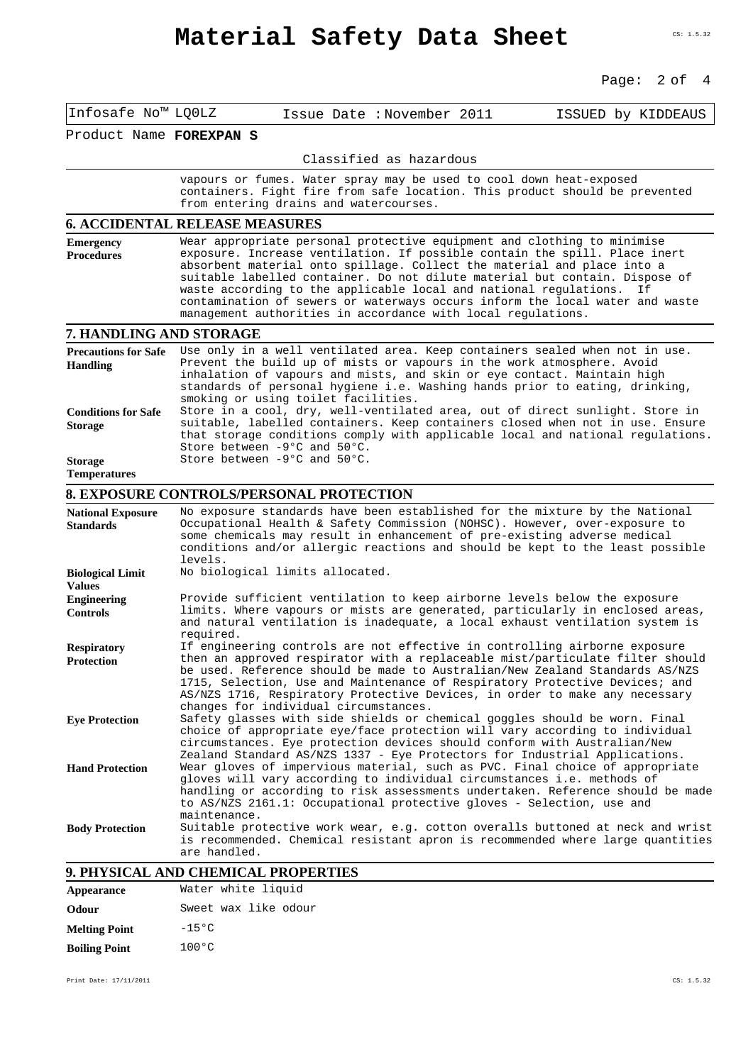# **Material Safety Data Sheet**

#### Page: 2 of 4

| Infosafe No™ LQ0LZ                             | Issue Date: November 2011<br>ISSUED by KIDDEAUS                                                                                                                                                                                                                                                                                                                                                                                                                                                                                            |  |  |  |  |  |  |
|------------------------------------------------|--------------------------------------------------------------------------------------------------------------------------------------------------------------------------------------------------------------------------------------------------------------------------------------------------------------------------------------------------------------------------------------------------------------------------------------------------------------------------------------------------------------------------------------------|--|--|--|--|--|--|
| Product Name FOREXPAN S                        |                                                                                                                                                                                                                                                                                                                                                                                                                                                                                                                                            |  |  |  |  |  |  |
|                                                | Classified as hazardous                                                                                                                                                                                                                                                                                                                                                                                                                                                                                                                    |  |  |  |  |  |  |
|                                                | vapours or fumes. Water spray may be used to cool down heat-exposed<br>containers. Fight fire from safe location. This product should be prevented<br>from entering drains and watercourses.                                                                                                                                                                                                                                                                                                                                               |  |  |  |  |  |  |
|                                                | <b>6. ACCIDENTAL RELEASE MEASURES</b>                                                                                                                                                                                                                                                                                                                                                                                                                                                                                                      |  |  |  |  |  |  |
| <b>Emergency</b><br><b>Procedures</b>          | Wear appropriate personal protective equipment and clothing to minimise<br>exposure. Increase ventilation. If possible contain the spill. Place inert<br>absorbent material onto spillage. Collect the material and place into a<br>suitable labelled container. Do not dilute material but contain. Dispose of<br>waste according to the applicable local and national regulations.<br>Ιf<br>contamination of sewers or waterways occurs inform the local water and waste<br>management authorities in accordance with local regulations. |  |  |  |  |  |  |
| 7. HANDLING AND STORAGE                        |                                                                                                                                                                                                                                                                                                                                                                                                                                                                                                                                            |  |  |  |  |  |  |
| <b>Precautions for Safe</b><br><b>Handling</b> | Use only in a well ventilated area. Keep containers sealed when not in use.<br>Prevent the build up of mists or vapours in the work atmosphere. Avoid<br>inhalation of vapours and mists, and skin or eye contact. Maintain high<br>standards of personal hygiene i.e. Washing hands prior to eating, drinking,<br>smoking or using toilet facilities.                                                                                                                                                                                     |  |  |  |  |  |  |
| <b>Conditions for Safe</b><br><b>Storage</b>   | Store in a cool, dry, well-ventilated area, out of direct sunlight. Store in<br>suitable, labelled containers. Keep containers closed when not in use. Ensure<br>that storage conditions comply with applicable local and national regulations.<br>Store between -9°C and 50°C.                                                                                                                                                                                                                                                            |  |  |  |  |  |  |
| <b>Storage</b><br><b>Temperatures</b>          | Store between -9°C and 50°C.                                                                                                                                                                                                                                                                                                                                                                                                                                                                                                               |  |  |  |  |  |  |
|                                                | <b>8. EXPOSURE CONTROLS/PERSONAL PROTECTION</b>                                                                                                                                                                                                                                                                                                                                                                                                                                                                                            |  |  |  |  |  |  |
| <b>National Exposure</b><br><b>Standards</b>   | No exposure standards have been established for the mixture by the National<br>Occupational Health & Safety Commission (NOHSC). However, over-exposure to<br>some chemicals may result in enhancement of pre-existing adverse medical<br>conditions and/or allergic reactions and should be kept to the least possible<br>levels.                                                                                                                                                                                                          |  |  |  |  |  |  |
| <b>Biological Limit</b><br><b>Values</b>       | No biological limits allocated.                                                                                                                                                                                                                                                                                                                                                                                                                                                                                                            |  |  |  |  |  |  |
| <b>Engineering</b><br><b>Controls</b>          | Provide sufficient ventilation to keep airborne levels below the exposure<br>limits. Where vapours or mists are generated, particularly in enclosed areas,<br>and natural ventilation is inadequate, a local exhaust ventilation system is<br>required.                                                                                                                                                                                                                                                                                    |  |  |  |  |  |  |
| <b>Respiratory</b><br><b>Protection</b>        | If engineering controls are not effective in controlling airborne exposure<br>then an approved respirator with a replaceable mist/particulate filter should<br>be used. Reference should be made to Australian/New Zealand Standards AS/NZS<br>1715, Selection, Use and Maintenance of Respiratory Protective Devices; and<br>AS/NZS 1716, Respiratory Protective Devices, in order to make any necessary<br>changes for individual circumstances.                                                                                         |  |  |  |  |  |  |
| <b>Eye Protection</b>                          | Safety glasses with side shields or chemical goggles should be worn. Final<br>choice of appropriate eye/face protection will vary according to individual<br>circumstances. Eye protection devices should conform with Australian/New<br>Zealand Standard AS/NZS 1337 - Eye Protectors for Industrial Applications.                                                                                                                                                                                                                        |  |  |  |  |  |  |
| <b>Hand Protection</b>                         | Wear gloves of impervious material, such as PVC. Final choice of appropriate<br>gloves will vary according to individual circumstances i.e. methods of<br>handling or according to risk assessments undertaken. Reference should be made<br>to AS/NZS 2161.1: Occupational protective gloves - Selection, use and<br>maintenance.                                                                                                                                                                                                          |  |  |  |  |  |  |
| <b>Body Protection</b>                         | Suitable protective work wear, e.g. cotton overalls buttoned at neck and wrist<br>is recommended. Chemical resistant apron is recommended where large quantities<br>are handled.                                                                                                                                                                                                                                                                                                                                                           |  |  |  |  |  |  |
|                                                | 9. PHYSICAL AND CHEMICAL PROPERTIES                                                                                                                                                                                                                                                                                                                                                                                                                                                                                                        |  |  |  |  |  |  |

| Appearance           | Water white liquid   |  |  |  |
|----------------------|----------------------|--|--|--|
| Odour                | Sweet wax like odour |  |  |  |
| <b>Melting Point</b> | $-15°C$              |  |  |  |
| <b>Boiling Point</b> | $100^{\circ}$ C      |  |  |  |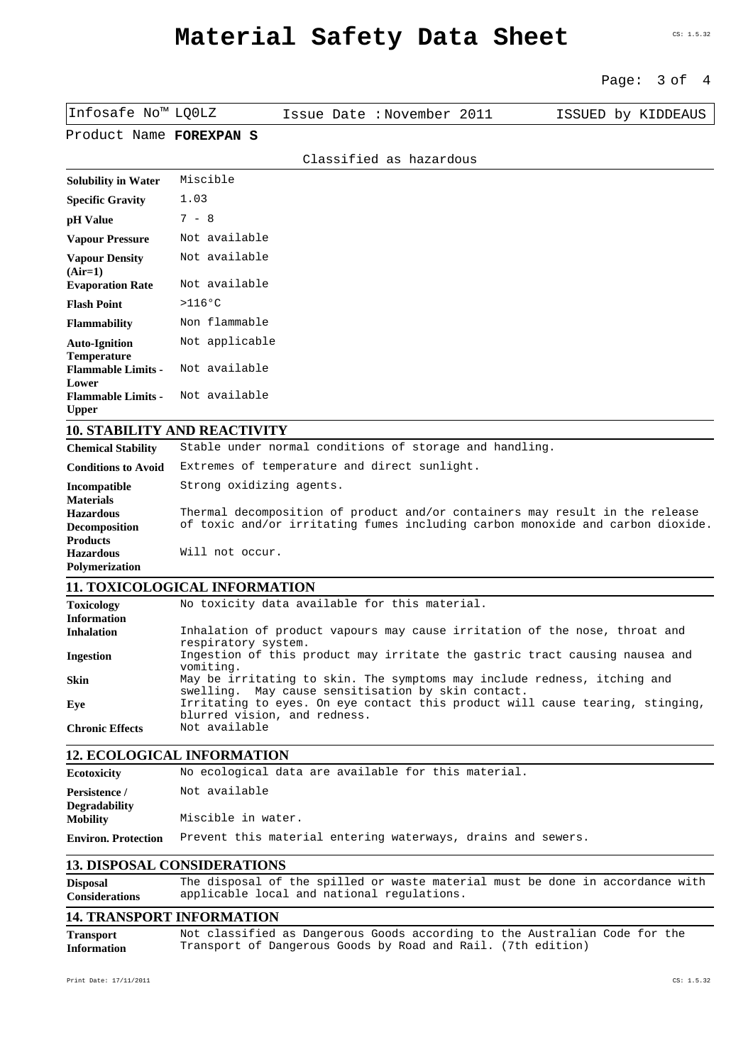## **Material Safety Data Sheet**

|                                                                                 | 3 of<br>4<br>Page:                                                                                                                                             |
|---------------------------------------------------------------------------------|----------------------------------------------------------------------------------------------------------------------------------------------------------------|
| Infosafe No™ LQ0LZ                                                              | Issue Date: November 2011<br>ISSUED by KIDDEAUS                                                                                                                |
| Product Name FOREXPAN S                                                         |                                                                                                                                                                |
|                                                                                 | Classified as hazardous                                                                                                                                        |
| <b>Solubility in Water</b>                                                      | Miscible                                                                                                                                                       |
| <b>Specific Gravity</b>                                                         | 1.03                                                                                                                                                           |
| pH Value                                                                        | $7 - 8$                                                                                                                                                        |
| <b>Vapour Pressure</b>                                                          | Not available                                                                                                                                                  |
| <b>Vapour Density</b><br>$(Air=1)$                                              | Not available                                                                                                                                                  |
| <b>Evaporation Rate</b>                                                         | Not available                                                                                                                                                  |
| <b>Flash Point</b>                                                              | $>116$ °C                                                                                                                                                      |
| <b>Flammability</b>                                                             | Non flammable                                                                                                                                                  |
| <b>Auto-Ignition</b><br><b>Temperature</b>                                      | Not applicable                                                                                                                                                 |
| <b>Flammable Limits -</b><br>Lower                                              | Not available                                                                                                                                                  |
| <b>Flammable Limits -</b><br><b>Upper</b>                                       | Not available                                                                                                                                                  |
|                                                                                 | <b>10. STABILITY AND REACTIVITY</b>                                                                                                                            |
| <b>Chemical Stability</b>                                                       | Stable under normal conditions of storage and handling.                                                                                                        |
| <b>Conditions to Avoid</b>                                                      | Extremes of temperature and direct sunlight.                                                                                                                   |
| Incompatible                                                                    | Strong oxidizing agents.                                                                                                                                       |
| <b>Materials</b><br><b>Hazardous</b><br><b>Decomposition</b><br><b>Products</b> | Thermal decomposition of product and/or containers may result in the release<br>of toxic and/or irritating fumes including carbon monoxide and carbon dioxide. |
| <b>Hazardous</b><br>Polymerization                                              | Will not occur.                                                                                                                                                |
|                                                                                 | <b>11. TOXICOLOGICAL INFORMATION</b>                                                                                                                           |
| <b>Toxicology</b>                                                               | No toxicity data available for this material.                                                                                                                  |
| <b>Information</b><br><b>Inhalation</b>                                         | Inhalation of product vapours may cause irritation of the nose, throat and                                                                                     |
| <b>Ingestion</b>                                                                | respiratory system.<br>Ingestion of this product may irritate the gastric tract causing nausea and<br>vomiting.                                                |
| Skin                                                                            | May be irritating to skin. The symptoms may include redness, itching and<br>May cause sensitisation by skin contact.<br>swelling.                              |
| Eye                                                                             | Irritating to eyes. On eye contact this product will cause tearing, stinging,<br>blurred vision, and redness.                                                  |
| <b>Chronic Effects</b>                                                          | Not available                                                                                                                                                  |
|                                                                                 | <b>12. ECOLOGICAL INFORMATION</b>                                                                                                                              |
| <b>Ecotoxicity</b>                                                              | No ecological data are available for this material.                                                                                                            |
| Persistence /<br><b>Degradability</b>                                           | Not available                                                                                                                                                  |
| <b>Mobility</b>                                                                 | Miscible in water.                                                                                                                                             |
| <b>Environ. Protection</b>                                                      | Prevent this material entering waterways, drains and sewers.                                                                                                   |
|                                                                                 | <b>13. DISPOSAL CONSIDERATIONS</b>                                                                                                                             |
| <b>Disposal</b><br><b>Considerations</b>                                        | The disposal of the spilled or waste material must be done in accordance with<br>applicable local and national regulations.                                    |
|                                                                                 | <b>14. TRANSPORT INFORMATION</b>                                                                                                                               |
| <b>Transport</b><br><b>Information</b>                                          | Not classified as Dangerous Goods according to the Australian Code for the<br>Transport of Dangerous Goods by Road and Rail. (7th edition)                     |